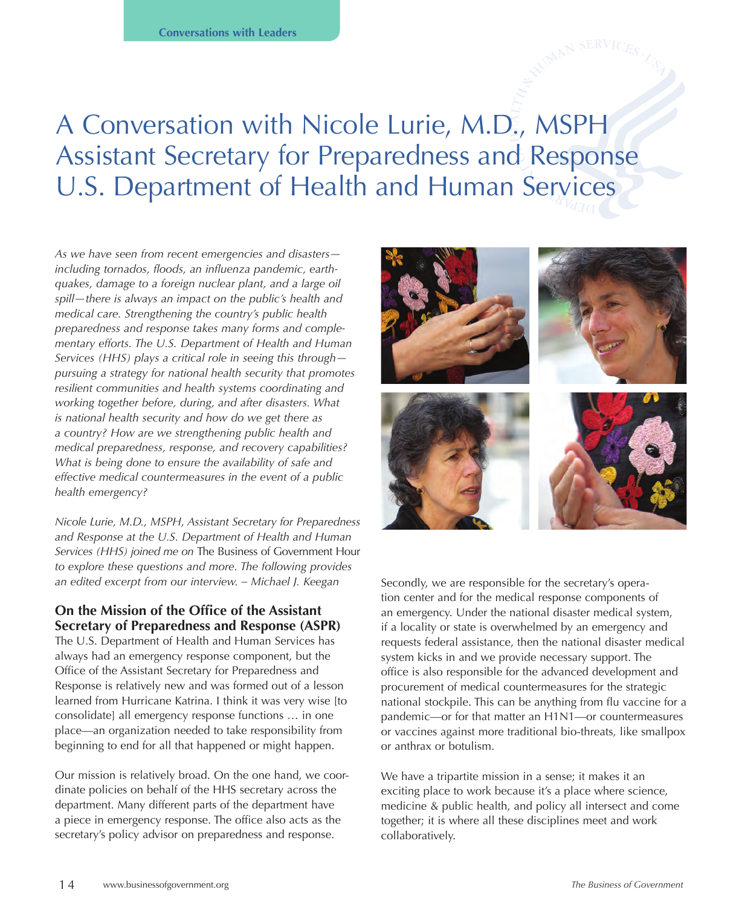# A Conversation with Nicole Lurie, M.D., MSPH Assistant Secretary for Preparedness and Response U.S. Department of Health and Human Services

*As we have seen from recent emergencies and disasters including tornados, floods, an influenza pandemic, earthquakes, damage to a foreign nuclear plant, and a large oil spill—there is always an impact on the public's health and medical care. Strengthening the country's public health preparedness and response takes many forms and complementary efforts. The U.S. Department of Health and Human Services (HHS) plays a critical role in seeing this through pursuing a strategy for national health security that promotes resilient communities and health systems coordinating and working together before, during, and after disasters. What is national health security and how do we get there as a country? How are we strengthening public health and medical preparedness, response, and recovery capabilities? What is being done to ensure the availability of safe and effective medical countermeasures in the event of a public health emergency?* 

*Nicole Lurie, M.D., MSPH, Assistant Secretary for Preparedness and Response at the U.S. Department of Health and Human Services (HHS) joined me on* The Business of Government Hour *to explore these questions and more. The following provides an edited excerpt from our interview. – Michael J. Keegan*

# **On the Mission of the Office of the Assistant Secretary of Preparedness and Response (ASPR)**

The U.S. Department of Health and Human Services has always had an emergency response component, but the Office of the Assistant Secretary for Preparedness and Response is relatively new and was formed out of a lesson learned from Hurricane Katrina. I think it was very wise [to consolidate] all emergency response functions … in one place—an organization needed to take responsibility from beginning to end for all that happened or might happen.

Our mission is relatively broad. On the one hand, we coordinate policies on behalf of the HHS secretary across the department. Many different parts of the department have a piece in emergency response. The office also acts as the secretary's policy advisor on preparedness and response.



Secondly, we are responsible for the secretary's operation center and for the medical response components of an emergency. Under the national disaster medical system, if a locality or state is overwhelmed by an emergency and requests federal assistance, then the national disaster medical system kicks in and we provide necessary support. The office is also responsible for the advanced development and procurement of medical countermeasures for the strategic national stockpile. This can be anything from flu vaccine for a pandemic—or for that matter an H1N1—or countermeasures or vaccines against more traditional bio-threats, like smallpox or anthrax or botulism.

We have a tripartite mission in a sense; it makes it an exciting place to work because it's a place where science, medicine & public health, and policy all intersect and come together; it is where all these disciplines meet and work collaboratively.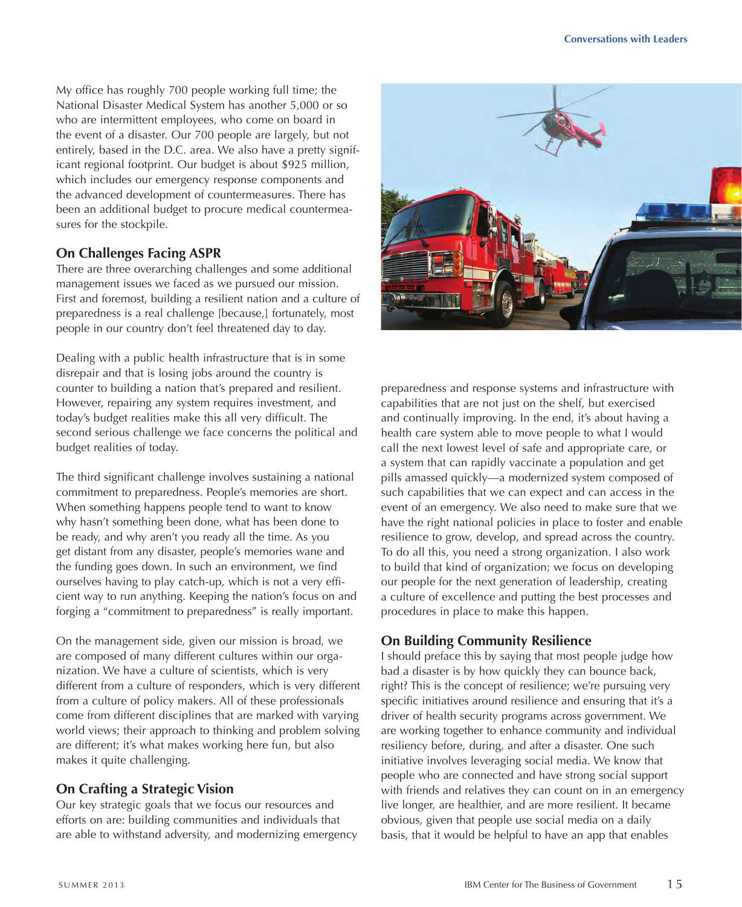My office has roughly 700 people working full time; the National Disaster Medical System has another 5,000 or so who are intermittent employees, who come on board in the event of a disaster. Our 700 people are largely, but not entirely, based in the D.C. area. We also have a pretty significant regional footprint. Our budget is about \$925 million, which includes our emergency response components and the advanced development of countermeasures. There has been an additional budget to procure medical countermeasures for the stockpile.

#### **On Challenges Facing ASPR**

There are three overarching challenges and some additional management issues we faced as we pursued our mission. First and foremost, building a resilient nation and a culture of preparedness is a real challenge [because,] fortunately, most people in our country don't feel threatened day to day.

Dealing with a public health infrastructure that is in some disrepair and that is losing jobs around the country is counter to building a nation that's prepared and resilient. However, repairing any system requires investment, and today's budget realities make this all very difficult. The second serious challenge we face concerns the political and budget realities of today.

The third significant challenge involves sustaining a national commitment to preparedness. People's memories are short. When something happens people tend to want to know why hasn't something been done, what has been done to be ready, and why aren't you ready all the time. As you get distant from any disaster, people's memories wane and the funding goes down. In such an environment, we find ourselves having to play catch-up, which is not a very efficient way to run anything. Keeping the nation's focus on and forging a "commitment to preparedness" is really important.

On the management side, given our mission is broad, we are composed of many different cultures within our organization. We have a culture of scientists, which is very different from a culture of responders, which is very different from a culture of policy makers. All of these professionals come from different disciplines that are marked with varying world views; their approach to thinking and problem solving are different; it's what makes working here fun, but also makes it quite challenging.

# **On Crafting a Strategic Vision**

Our key strategic goals that we focus our resources and efforts on are: building communities and individuals that are able to withstand adversity, and modernizing emergency



preparedness and response systems and infrastructure with capabilities that are not just on the shelf, but exercised and continually improving. In the end, it's about having a health care system able to move people to what I would call the next lowest level of safe and appropriate care, or a system that can rapidly vaccinate a population and get pills amassed quickly—a modernized system composed of such capabilities that we can expect and can access in the event of an emergency. We also need to make sure that we have the right national policies in place to foster and enable resilience to grow, develop, and spread across the country. To do all this, you need a strong organization. I also work to build that kind of organization; we focus on developing our people for the next generation of leadership, creating a culture of excellence and putting the best processes and procedures in place to make this happen.

# **On Building Community Resilience**

I should preface this by saying that most people judge how bad a disaster is by how quickly they can bounce back, right? This is the concept of resilience; we're pursuing very specific initiatives around resilience and ensuring that it's a driver of health security programs across government. We are working together to enhance community and individual resiliency before, during, and after a disaster. One such initiative involves leveraging social media. We know that people who are connected and have strong social support with friends and relatives they can count on in an emergency live longer, are healthier, and are more resilient. It became obvious, given that people use social media on a daily basis, that it would be helpful to have an app that enables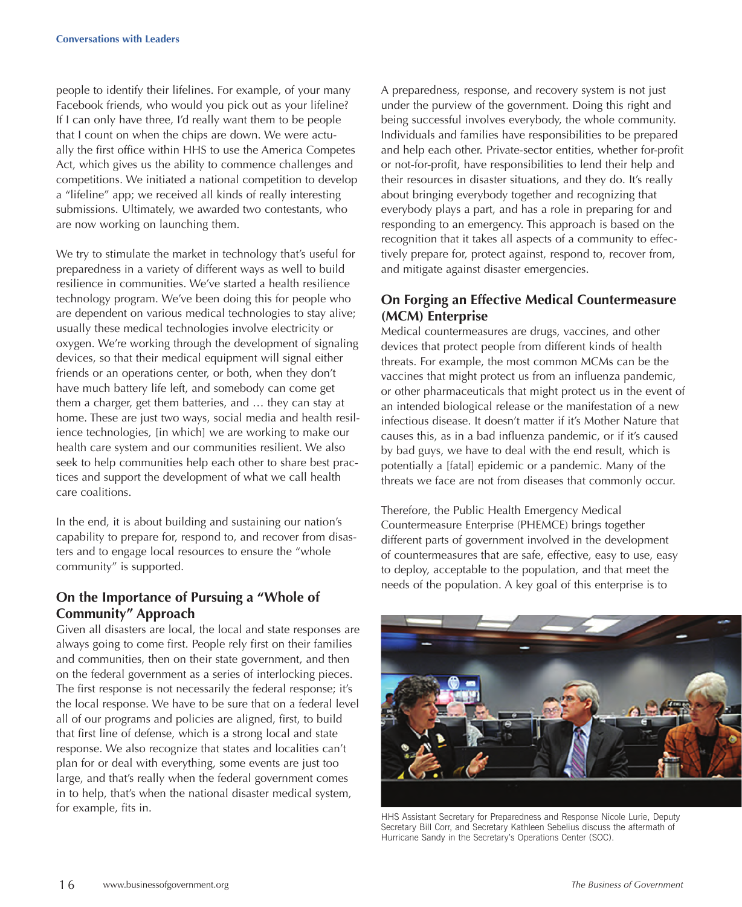people to identify their lifelines. For example, of your many Facebook friends, who would you pick out as your lifeline? If I can only have three, I'd really want them to be people that I count on when the chips are down. We were actually the first office within HHS to use the America Competes Act, which gives us the ability to commence challenges and competitions. We initiated a national competition to develop a "lifeline" app; we received all kinds of really interesting submissions. Ultimately, we awarded two contestants, who are now working on launching them.

We try to stimulate the market in technology that's useful for preparedness in a variety of different ways as well to build resilience in communities. We've started a health resilience technology program. We've been doing this for people who are dependent on various medical technologies to stay alive; usually these medical technologies involve electricity or oxygen. We're working through the development of signaling devices, so that their medical equipment will signal either friends or an operations center, or both, when they don't have much battery life left, and somebody can come get them a charger, get them batteries, and … they can stay at home. These are just two ways, social media and health resilience technologies, [in which] we are working to make our health care system and our communities resilient. We also seek to help communities help each other to share best practices and support the development of what we call health care coalitions.

In the end, it is about building and sustaining our nation's capability to prepare for, respond to, and recover from disasters and to engage local resources to ensure the "whole community" is supported.

# **On the Importance of Pursuing a "Whole of Community" Approach**

Given all disasters are local, the local and state responses are always going to come first. People rely first on their families and communities, then on their state government, and then on the federal government as a series of interlocking pieces. The first response is not necessarily the federal response; it's the local response. We have to be sure that on a federal level all of our programs and policies are aligned, first, to build that first line of defense, which is a strong local and state response. We also recognize that states and localities can't plan for or deal with everything, some events are just too large, and that's really when the federal government comes in to help, that's when the national disaster medical system, for example, fits in.

A preparedness, response, and recovery system is not just under the purview of the government. Doing this right and being successful involves everybody, the whole community. Individuals and families have responsibilities to be prepared and help each other. Private-sector entities, whether for-profit or not-for-profit, have responsibilities to lend their help and their resources in disaster situations, and they do. It's really about bringing everybody together and recognizing that everybody plays a part, and has a role in preparing for and responding to an emergency. This approach is based on the recognition that it takes all aspects of a community to effectively prepare for, protect against, respond to, recover from, and mitigate against disaster emergencies.

#### **On Forging an Effective Medical Countermeasure (MCM) Enterprise**

Medical countermeasures are drugs, vaccines, and other devices that protect people from different kinds of health threats. For example, the most common MCMs can be the vaccines that might protect us from an influenza pandemic, or other pharmaceuticals that might protect us in the event of an intended biological release or the manifestation of a new infectious disease. It doesn't matter if it's Mother Nature that causes this, as in a bad influenza pandemic, or if it's caused by bad guys, we have to deal with the end result, which is potentially a [fatal] epidemic or a pandemic. Many of the threats we face are not from diseases that commonly occur.

Therefore, the Public Health Emergency Medical Countermeasure Enterprise (PHEMCE) brings together different parts of government involved in the development of countermeasures that are safe, effective, easy to use, easy to deploy, acceptable to the population, and that meet the needs of the population. A key goal of this enterprise is to



HHS Assistant Secretary for Preparedness and Response Nicole Lurie, Deputy Secretary Bill Corr, and Secretary Kathleen Sebelius discuss the aftermath of Hurricane Sandy in the Secretary's Operations Center (SOC).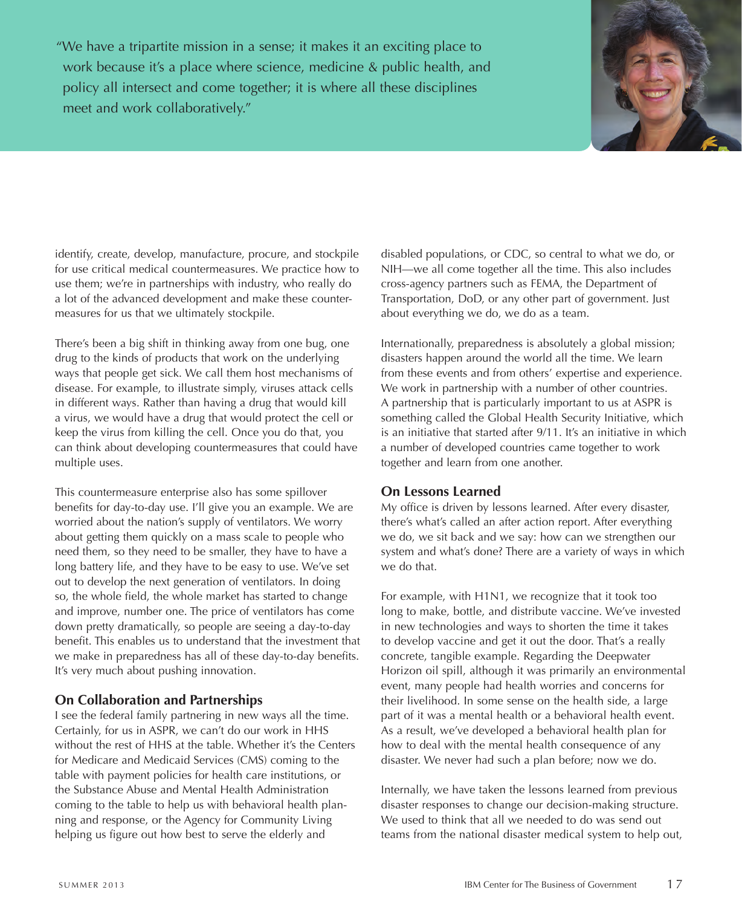"We have a tripartite mission in a sense; it makes it an exciting place to work because it's a place where science, medicine & public health, and policy all intersect and come together; it is where all these disciplines meet and work collaboratively."



identify, create, develop, manufacture, procure, and stockpile for use critical medical countermeasures. We practice how to use them; we're in partnerships with industry, who really do a lot of the advanced development and make these countermeasures for us that we ultimately stockpile.

There's been a big shift in thinking away from one bug, one drug to the kinds of products that work on the underlying ways that people get sick. We call them host mechanisms of disease. For example, to illustrate simply, viruses attack cells in different ways. Rather than having a drug that would kill a virus, we would have a drug that would protect the cell or keep the virus from killing the cell. Once you do that, you can think about developing countermeasures that could have multiple uses.

This countermeasure enterprise also has some spillover benefits for day-to-day use. I'll give you an example. We are worried about the nation's supply of ventilators. We worry about getting them quickly on a mass scale to people who need them, so they need to be smaller, they have to have a long battery life, and they have to be easy to use. We've set out to develop the next generation of ventilators. In doing so, the whole field, the whole market has started to change and improve, number one. The price of ventilators has come down pretty dramatically, so people are seeing a day-to-day benefit. This enables us to understand that the investment that we make in preparedness has all of these day-to-day benefits. It's very much about pushing innovation.

# **On Collaboration and Partnerships**

I see the federal family partnering in new ways all the time. Certainly, for us in ASPR, we can't do our work in HHS without the rest of HHS at the table. Whether it's the Centers for Medicare and Medicaid Services (CMS) coming to the table with payment policies for health care institutions, or the Substance Abuse and Mental Health Administration coming to the table to help us with behavioral health planning and response, or the Agency for Community Living helping us figure out how best to serve the elderly and

disabled populations, or CDC, so central to what we do, or NIH—we all come together all the time. This also includes cross-agency partners such as FEMA, the Department of Transportation, DoD, or any other part of government. Just about everything we do, we do as a team.

Internationally, preparedness is absolutely a global mission; disasters happen around the world all the time. We learn from these events and from others' expertise and experience. We work in partnership with a number of other countries. A partnership that is particularly important to us at ASPR is something called the Global Health Security Initiative, which is an initiative that started after 9/11. It's an initiative in which a number of developed countries came together to work together and learn from one another.

#### **On Lessons Learned**

My office is driven by lessons learned. After every disaster, there's what's called an after action report. After everything we do, we sit back and we say: how can we strengthen our system and what's done? There are a variety of ways in which we do that.

For example, with H1N1, we recognize that it took too long to make, bottle, and distribute vaccine. We've invested in new technologies and ways to shorten the time it takes to develop vaccine and get it out the door. That's a really concrete, tangible example. Regarding the Deepwater Horizon oil spill, although it was primarily an environmental event, many people had health worries and concerns for their livelihood. In some sense on the health side, a large part of it was a mental health or a behavioral health event. As a result, we've developed a behavioral health plan for how to deal with the mental health consequence of any disaster. We never had such a plan before; now we do.

Internally, we have taken the lessons learned from previous disaster responses to change our decision-making structure. We used to think that all we needed to do was send out teams from the national disaster medical system to help out,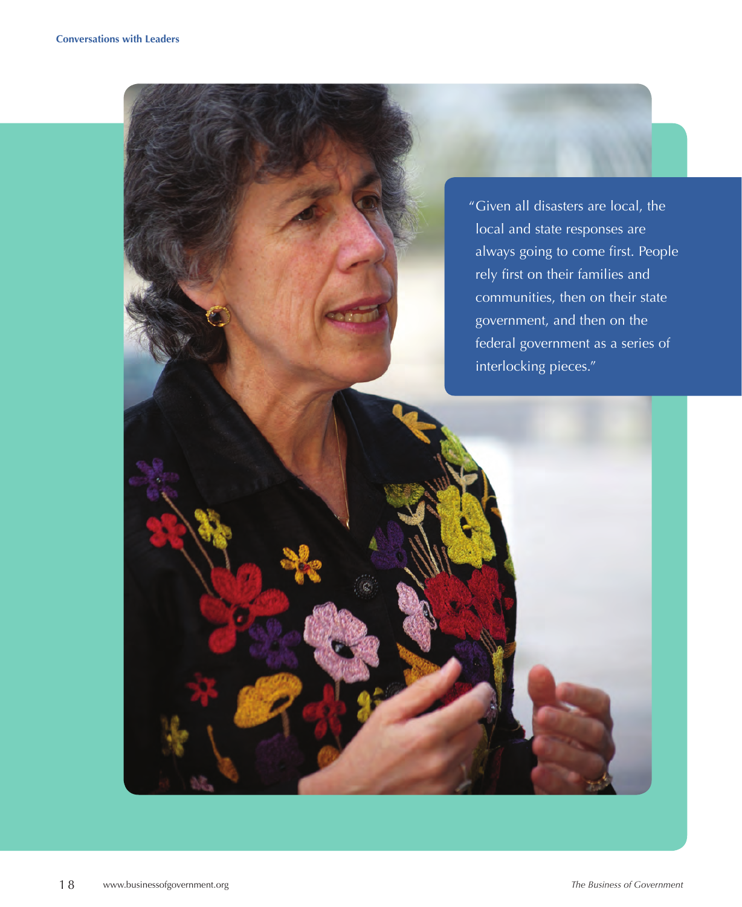"Given all disasters are local, the local and state responses are always going to come first. People rely first on their families and communities, then on their state government, and then on the federal government as a series of interlocking pieces."